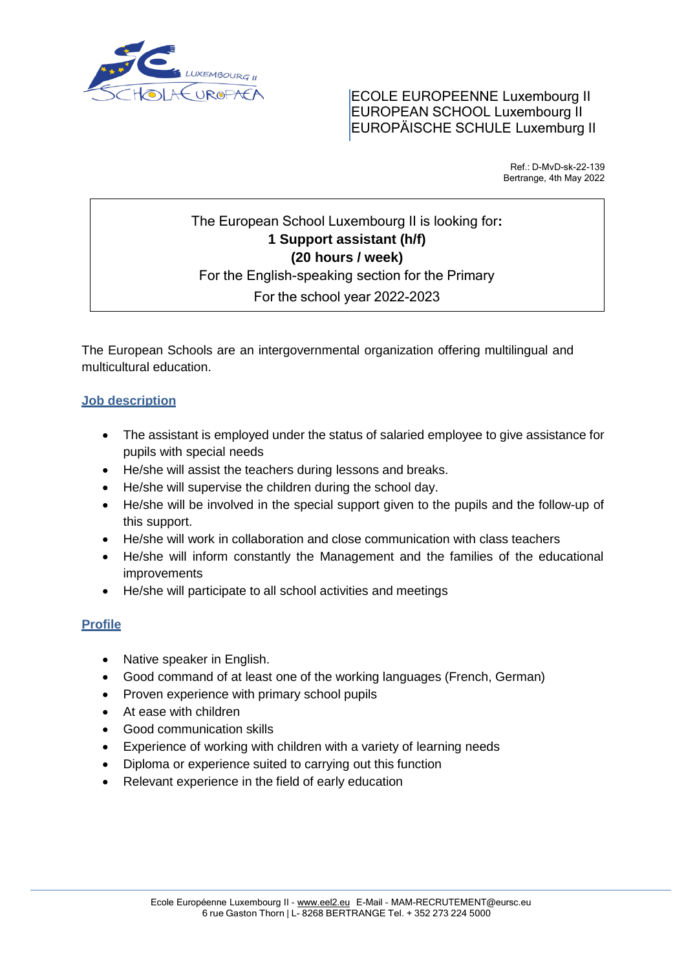

# ECOLE EUROPEENNE Luxembourg II EUROPEAN SCHOOL Luxembourg II EUROPÄISCHE SCHULE Luxemburg II

Ref.: D-MvD-sk-22-139 Bertrange, 4th May 2022

# The European School Luxembourg II is looking for**: 1 Support assistant (h/f) (20 hours / week)** For the English-speaking section for the Primary For the school year 2022-2023

The European Schools are an intergovernmental organization offering multilingual and multicultural education.  $\mathbb{R}^2$ 

# **Job description**

- The assistant is employed under the status of salaried employee to give assistance for pupils with special needs
- He/she will assist the teachers during lessons and breaks.
- He/she will supervise the children during the school day.
- He/she will be involved in the special support given to the pupils and the follow-up of this support.
- He/she will work in collaboration and close communication with class teachers
- He/she will inform constantly the Management and the families of the educational improvements
- He/she will participate to all school activities and meetings

# **Profile**

- Native speaker in English.
- Good command of at least one of the working languages (French, German)
- Proven experience with primary school pupils
- At ease with children
- Good communication skills
- Experience of working with children with a variety of learning needs
- Diploma or experience suited to carrying out this function
- Relevant experience in the field of early education